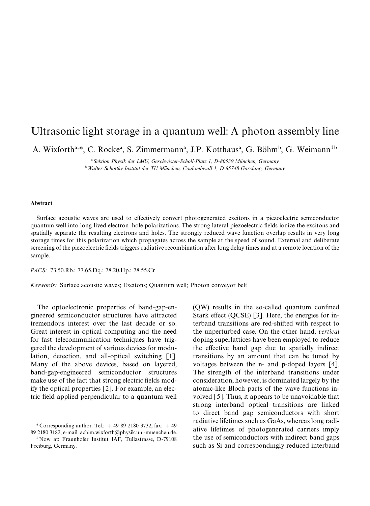## Ultrasonic light storage in a quantum well: A photon assembly line

A. Wixforth<sup>a,\*</sup>, C. Rocke<sup>a</sup>, S. Zimmermann<sup>a</sup>, J.P. Kotthaus<sup>a</sup>, G. Böhm<sup>b</sup>, G. Weimann<sup>1b</sup>

<sup>a</sup> Sektion Physik der LMU, Geschwister-Scholl-Platz 1, D-80539 München, Germany <sup>b</sup> Walter-Schottky-Institut der TU München, Coulombwall 1, D-85748 Garching, Germany

## Abstract

Surface acoustic waves are used to effectively convert photogenerated excitons in a piezoelectric semiconductor quantum well into long-lived electron*—*hole polarizations. The strong lateral piezoelectric fields ionize the excitons and spatially separate the resulting electrons and holes. The strongly reduced wave function overlap results in very long storage times for this polarization which propagates across the sample at the speed of sound. External and deliberate screening of the piezoelectric fields triggers radiative recombination after long delay times and at a remote location of the sample.

*PACS:* 73.50.Rb.; 77.65.Dq.; 78.20.Hp.; 78.55.Cr

*Keywords:* Surface acoustic waves; Excitons; Quantum well; Photon conveyor belt

The optoelectronic properties of band-gap-engineered semiconductor structures have attracted tremendous interest over the last decade or so. Great interest in optical computing and the need for fast telecommunication techniques have triggered the development of various devices for modulation, detection, and all-optical switching [1]. Many of the above devices, based on layered, band-gap-engineered semiconductor structures make use of the fact that strong electric fields modify the optical properties [2]. For example, an electric field applied perpendicular to a quantum well

*\** Corresponding author. Tel.:  $+498921803732$ ; fax:  $+49$ 89 2180 3182; e-mail: achim.wixforth@physik.uni-muenchen.de.

<sup>1</sup> Now at: Fraunhofer Institut IAF, Tullastrasse, D-79108 Freiburg, Germany.

(QW) results in the so-called quantum confined Stark effect (QCSE) [3]. Here, the energies for interband transitions are red-shifted with respect to the unperturbed case. On the other hand, *vertical* doping superlattices have been employed to reduce the effective band gap due to spatially indirect transitions by an amount that can be tuned by voltages between the n- and p-doped layers [4]. The strength of the interband transitions under consideration, however, is dominated largely by the atomic-like Bloch parts of the wave functions involved [5]. Thus, it appears to be unavoidable that strong interband optical transitions are linked to direct band gap semiconductors with short radiative lifetimes such as GaAs, whereas long radiative lifetimes of photogenerated carriers imply the use of semiconductors with indirect band gaps such as Si and correspondingly reduced interband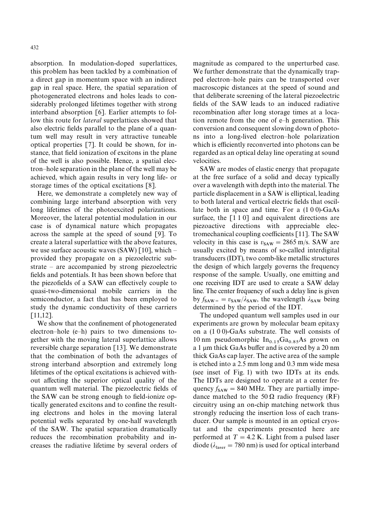absorption. In modulation-doped superlattices, this problem has been tackled by a combination of a direct gap in momentum space with an indirect gap in real space. Here, the spatial separation of photogenerated electrons and holes leads to considerably prolonged lifetimes together with strong interband absorption [6]. Earlier attempts to follow this route for *lateral* superlattices showed that also electric fields parallel to the plane of a quantum well may result in very attractive tuneable optical properties [7]. It could be shown, for instance, that field ionization of excitons in the plane of the well is also possible. Hence, a spatial electron*—*hole separation in the plane of the well may be achieved, which again results in very long life- or storage times of the optical excitations [8].

Here, we demonstrate a completely new way of combining large interband absorption with very long lifetimes of the photoexcited polarizations. Moreover, the lateral potential modulation in our case is of dynamical nature which propagates across the sample at the speed of sound [9]. To create a lateral superlattice with the above features, we use surface acoustic waves (SAW) [10], which  provided they propagate on a piezoelectric substrate *—* are accompanied by strong piezoelectric fields and potentials. It has been shown before that the piezofields of a SAW can effectively couple to quasi-two-dimensional mobile carriers in the semiconductor, a fact that has been employed to study the dynamic conductivity of these carriers [11,12].

We show that the confinement of photogenerated electron*—*hole (e*—*h) pairs to two dimensions together with the moving lateral superlattice allows reversible charge separation [13]. We demonstrate that the combination of both the advantages of strong interband absorption and extremely long lifetimes of the optical excitations is achieved without affecting the superior optical quality of the quantum well material. The piezoelectric fields of the SAW can be strong enough to field-ionize optically generated excitons and to confine the resulting electrons and holes in the moving lateral potential wells separated by one-half wavelength of the SAW. The spatial separation dramatically reduces the recombination probability and increases the radiative lifetime by several orders of magnitude as compared to the unperturbed case. We further demonstrate that the dynamically trapped electron*—*hole pairs can be transported over macroscopic distances at the speed of sound and that deliberate screening of the lateral piezoelectric fields of the SAW leads to an induced radiative recombination after long storage times at a location remote from the one of e*—*h generation. This conversion and consequent slowing down of photons into a long-lived electron*—*hole polarization which is efficiently reconverted into photons can be regarded as an optical delay line operating at sound velocities.

SAW are modes of elastic energy that propagate at the free surface of a solid and decay typically over a wavelength with depth into the material. The particle displacement in a SAW is elliptical, leading to both lateral and vertical electric fields that oscillate both in space and time. For a (1 0 0)-GaAs surface, the  $\lceil 1\ 1\ 0 \rceil$  and equivalent directions are piezoactive directions with appreciable electromechanical coupling coefficients [11]. The SAW velocity in this case is  $v_{SAW} = 2865$  m/s. SAW are usually excited by means of so-called interdigital transducers (IDT), two comb-like metallic structures the design of which largely governs the frequency response of the sample. Usually, one emitting and one receiving IDT are used to create a SAW delay line. The center frequency of such a delay line is given by  $f_{SAW} = v_{SAW}/\lambda_{SAW}$ , the wavelength  $\lambda_{SAW}$  being determined by the period of the IDT.

The undoped quantum well samples used in our experiments are grown by molecular beam epitaxy on a (1 0 0)-GaAs substrate. The well consists of 10 nm pseudomorphic  $In<sub>0.15</sub>Ga<sub>0.85</sub>As$  grown on a 1  $\mu$ m thick GaAs buffer and is covered by a 20 nm thick GaAs cap layer. The active area of the sample is etched into a 2.5 mm long and 0.3 mm wide mesa (see inset of Fig. 1) with two IDTs at its ends. The IDTs are designed to operate at a center frequency  $f_{SAW} = 840$  MHz. They are partially impedance matched to the 50  $\Omega$  radio frequency (RF) circuitry using an on-chip matching network thus strongly reducing the insertion loss of each transducer. Our sample is mounted in an optical cryostat and the experiments presented here are performed at  $T = 4.2$  K. Light from a pulsed laser diode ( $\lambda_{\text{laser}} = 780 \text{ nm}$ ) is used for optical interband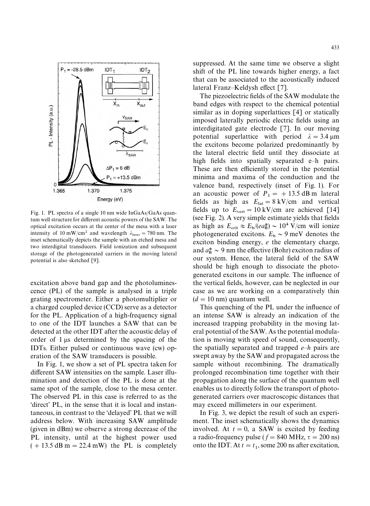

Fig. 1. PL spectra of a single 10 nm wide InGaAs/GaAs quantum well structure for different acoustic powers of the SAW. The optical excitation occurs at the center of the mesa with a laser intensity of 10 mW/cm<sup>2</sup> and wavelength  $\lambda_{\text{laser}} = 780 \text{ nm}$ . The inset schematically depicts the sample with an etched mesa and two interdigital transducers. Field ionization and subsequent storage of the photogenerated carriers in the moving lateral potential is also sketched [9].

excitation above band gap and the photoluminescence (PL) of the sample is analysed in a triple grating spectrometer. Either a photomultiplier or a charged coupled device (CCD) serve as a detector for the PL. Application of a high-frequency signal to one of the IDT launches a SAW that can be detected at the other IDT after the acoustic delay of order of 1 us determined by the spacing of the IDTs. Either pulsed or continuous wave (cw) operation of the SAW transducers is possible.

In Fig. 1, we show a set of PL spectra taken for different SAW intensities on the sample. Laser illumination and detection of the PL is done at the same spot of the sample, close to the mesa center. The observed PL in this case is referred to as the 'direct' PL, in the sense that it is local and instantaneous, in contrast to the 'delayed' PL that we will address below. With increasing SAW amplitude (given in dBm) we observe a strong decrease of the PL intensity, until at the highest power used  $(+ 13.5 \text{ dB m} = 22.4 \text{ mW})$  the PL is completely suppressed. At the same time we observe a slight shift of the PL line towards higher energy, a fact that can be associated to the acoustically induced lateral Franz*—*Keldysh effect [7].

The piezoelectric fields of the SAW modulate the band edges with respect to the chemical potential similar as in doping superlattices [4] or statically imposed laterally periodic electric fields using an interdigitated gate electrode [7]. In our moving potential superlattice with period  $\lambda = 3.4$  um the excitons become polarized predominantly by the lateral electric field until they dissociate at high fields into spatially separated e*—*h pairs. These are then efficiently stored in the potential minima and maxima of the conduction and the valence band, respectively (inset of Fig. 1). For an acoustic power of  $P_1 = +13.5$  dB m lateral fields as high as  $E_{\text{lat}} = 8 \text{ kV/cm}$  and vertical fields up to  $E_{\text{vert}} = 10 \text{ kV/cm}$  are achieved [14] (see Fig. 2). A very simple estimate yields that fields as high as  $E_{\text{crit}} \approx E_b/(ea_B^*) \sim 10^4 \text{ V/cm}$  will ionize photogenerated excitons.  $E_b \sim 9$  meV denotes the exciton binding energy, *e* the elementary charge, and  $a_B^* \sim 9$  nm the effective (Bohr) exciton radius of our system. Hence, the lateral field of the SAW should be high enough to dissociate the photogenerated excitons in our sample. The influence of the vertical fields, however, can be neglected in our case as we are working on a comparatively thin  $(d = 10 \text{ nm})$  quantum well.

This quenching of the PL under the influence of an intense SAW is already an indication of the increased trapping probability in the moving lateral potential of the SAW. As the potential modulation is moving with speed of sound, consequently, the spatially separated and trapped *e—h* pairs are swept away by the SAW and propagated across the sample without recombining. The dramatically prolonged recombination time together with their propagation along the surface of the quantum well enables us to directly follow the transport of photogenerated carriers over macroscopic distances that may exceed millimeters in our experiment.

In Fig. 3, we depict the result of such an experiment. The inset schematically shows the dynamics involved. At  $t = 0$ , a SAW is excited by feeding a radio-frequency pulse ( $f = 840$  MHz,  $\tau = 200$  ns) onto the IDT. At  $t = t_1$ , some 200 ns after excitation,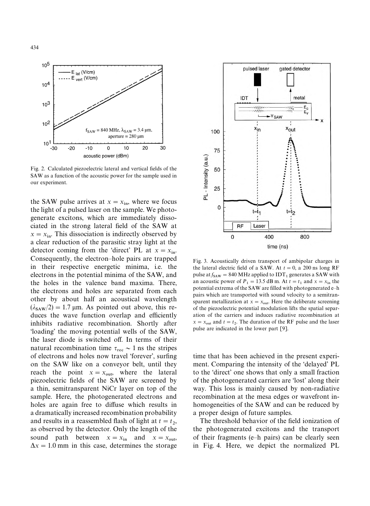

Fig. 2. Calculated piezoelectric lateral and vertical fields of the SAW as a function of the acoustic power for the sample used in our experiment.

the SAW pulse arrives at  $x = x_{in}$ , where we focus the light of a pulsed laser on the sample. We photogenerate excitons, which are immediately dissociated in the strong lateral field of the SAW at  $x = x_{\text{in}}$ . This dissociation is indirectly observed by a clear reduction of the parasitic stray light at the detector coming from the 'direct' PL at  $x = x_{\text{in}}$ . Consequently, the electron*—*hole pairs are trapped in their respective energetic minima, i.e. the electrons in the potential minima of the SAW, and the holes in the valence band maxima. There, the electrons and holes are separated from each other by about half an acoustical wavelength  $(\lambda_{\text{SAW}}/2) = 1.7 \text{ µm}$ . As pointed out above, this reduces the wave function overlap and efficiently inhibits radiative recombination. Shortly after 'loading' the moving potential wells of the SAW, the laser diode is switched off. In terms of their natural recombination time  $\tau_{\text{rec}} \sim 1$  ns the stripes of electrons and holes now travel 'forever', surfing on the SAW like on a conveyor belt, until they reach the point  $x = x_{\text{out}}$ , where the lateral piezoelectric fields of the SAW are screened by a thin, semitransparent NiCr layer on top of the sample. Here, the photogenerated electrons and holes are again free to diffuse which results in a dramatically increased recombination probability and results in a reassembled flash of light at  $t = t_2$ , as observed by the detector. Only the length of the sound path between  $x = x_{in}$  and  $x = x_{out}$ ,  $\Delta x = 1.0$  mm in this case, determines the storage



Fig. 3. Acoustically driven transport of ambipolar charges in the lateral electric field of a SAW. At  $t = 0$ , a 200 ns long RF pulse at  $f_{SAW} = 840 \text{ MHz}$  applied to IDT<sub>1</sub> generates a SAW with an acoustic power of  $P_1 = 13.5$  dB m. At  $t = t_1$  and  $x = x_{\text{in}}$  the potential extrema of the SAW are filled with photogenerated e*—*h pairs which are transported with sound velocity to a semitransparent metallization at  $x = x_{\text{out}}$ . Here the deliberate screening of the piezoelectric potential modulation lifts the spatial separation of the carriers and induces radiative recombination at  $x = x_{\text{out}}$  and  $t = t_2$ . The duration of the RF pulse and the laser pulse are indicated in the lower part [9].

time that has been achieved in the present experiment. Comparing the intensity of the 'delayed' PL to the 'direct' one shows that only a small fraction of the photogenerated carriers are 'lost' along their way. This loss is mainly caused by non-radiative recombination at the mesa edges or wavefront inhomogeneities of the SAW and can be reduced by a proper design of future samples.

The threshold behavior of the field ionization of the photogenerated excitons and the transport of their fragments (e*—*h pairs) can be clearly seen in Fig. 4. Here, we depict the normalized PL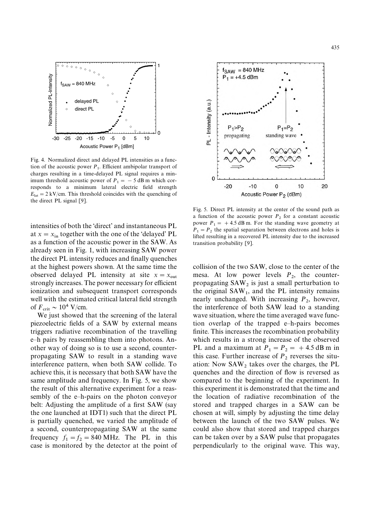

Fig. 4. Normalized direct and delayed PL intensities as a function of the acoustic power  $P_1$ . Efficient ambipolar transport of charges resulting in a time-delayed PL signal requires a minimum threshold acoustic power of  $P_1 = -5$  dB m which corresponds to a minimum lateral electric field strength  $E_{\text{lat}} = 2 \text{ kV/cm}$ . This threshold coincides with the quenching of the direct PL signal [9].

intensities of both the 'direct' and instantaneous PL at  $x = x_{\text{in}}$  together with the one of the 'delayed' PL as a function of the acoustic power in the SAW. As already seen in Fig. 1, with increasing SAW power the direct PL intensity reduces and finally quenches at the highest powers shown. At the same time the observed delayed PL intensity at site  $x = x_{\text{out}}$ strongly increases. The power necessary for efficient ionization and subsequent transport corresponds well with the estimated critical lateral field strength of  $F_{\text{crit}} \sim 10^4 \text{ V/cm}.$ 

We just showed that the screening of the lateral piezoelectric fields of a SAW by external means triggers radiative recombination of the travelling e*—*h pairs by reassembling them into photons. Another way of doing so is to use a second, counterpropagating SAW to result in a standing wave interference pattern, when both SAW collide. To achieve this, it is necessary that both SAW have the same amplitude and frequency. In Fig. 5, we show the result of this alternative experiment for a reassembly of the e*—*h-pairs on the photon conveyor belt: Adjusting the amplitude of a first SAW (say the one launched at IDT1) such that the direct PL is partially quenched, we varied the amplitude of a second, counterpropagating SAW at the same frequency  $f_1 = f_2 = 840 \text{ MHz}$ . The PL in this case is monitored by the detector at the point of



Fig. 5. Direct PL intensity at the center of the sound path as a function of the acoustic power  $P_2$  for a constant acoustic power  $P_1 = +4.5$  dB m. For the standing wave geometry at  $P_1 = P_2$  the spatial separation between electrons and holes is lifted resulting in a recovered PL intensity due to the increased transition probability [9].

collision of the two SAW, close to the center of the mesa. At low power levels  $P_2$ , the counterpropagating  $SAW_2$  is just a small perturbation to the original  $SAW_1$ , and the PL intensity remains nearly unchanged. With increasing  $P_2$ , however, the interference of both SAW lead to a standing wave situation, where the time averaged wave function overlap of the trapped e*—*h-pairs becomes finite. This increases the recombination probability which results in a strong increase of the observed PL and a maximum at  $P_1 = P_2 = +4.5$  dB m in this case. Further increase of  $P_2$  reverses the situation: Now  $SAW_2$  takes over the charges, the PL quenches and the direction of flow is reversed as compared to the beginning of the experiment. In this experiment it is demonstrated that the time and the location of radiative recombination of the stored and trapped charges in a SAW can be chosen at will, simply by adjusting the time delay between the launch of the two SAW pulses. We could also show that stored and trapped charges can be taken over by a SAW pulse that propagates perpendicularly to the original wave. This way,